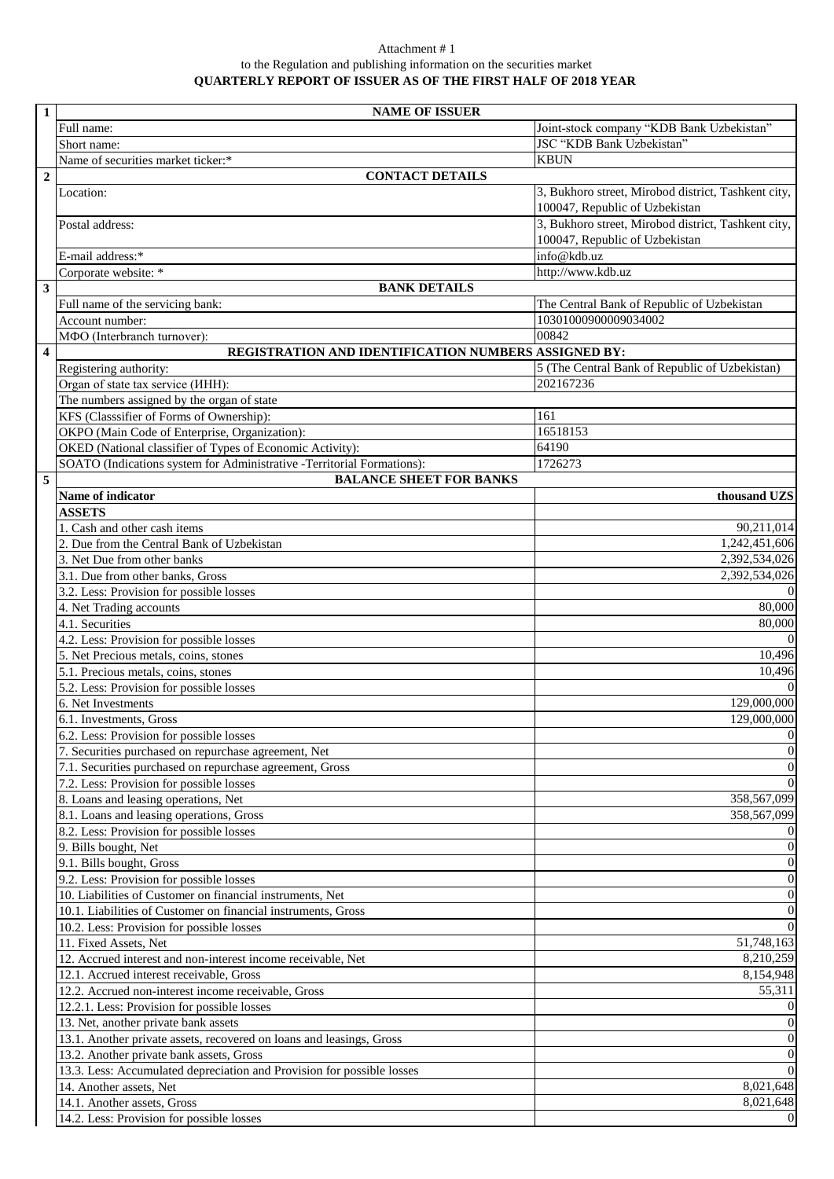## Attachment # 1 to the Regulation and publishing information on the securities market **QUARTERLY REPORT OF ISSUER AS OF THE FIRST HALF OF 2018 YEAR**

| $\mathbf{1}$            | <b>NAME OF ISSUER</b>                                                           |                                                     |  |
|-------------------------|---------------------------------------------------------------------------------|-----------------------------------------------------|--|
|                         | Full name:                                                                      | Joint-stock company "KDB Bank Uzbekistan"           |  |
|                         | Short name:                                                                     | JSC "KDB Bank Uzbekistan"                           |  |
|                         | Name of securities market ticker:*                                              | <b>KBUN</b>                                         |  |
| $\overline{2}$          | <b>CONTACT DETAILS</b>                                                          |                                                     |  |
|                         | Location:                                                                       | 3, Bukhoro street, Mirobod district, Tashkent city, |  |
|                         |                                                                                 | 100047, Republic of Uzbekistan                      |  |
|                         | Postal address:                                                                 | 3, Bukhoro street, Mirobod district, Tashkent city, |  |
|                         |                                                                                 | 100047, Republic of Uzbekistan                      |  |
|                         | E-mail address:*                                                                | info@kdb.uz                                         |  |
|                         | Corporate website: *                                                            | http://www.kdb.uz                                   |  |
| $\overline{\mathbf{3}}$ | <b>BANK DETAILS</b>                                                             |                                                     |  |
|                         | Full name of the servicing bank:                                                | The Central Bank of Republic of Uzbekistan          |  |
|                         | Account number:                                                                 | 10301000900009034002                                |  |
|                         | МФО (Interbranch turnover):                                                     | 00842                                               |  |
| $\overline{\mathbf{4}}$ | REGISTRATION AND IDENTIFICATION NUMBERS ASSIGNED BY:                            |                                                     |  |
|                         | Registering authority:                                                          | 5 (The Central Bank of Republic of Uzbekistan)      |  |
|                         | Organ of state tax service ( <i>HHH</i> ):                                      | 202167236                                           |  |
|                         | The numbers assigned by the organ of state                                      |                                                     |  |
|                         | KFS (Classsifier of Forms of Ownership):                                        | 161                                                 |  |
|                         | OKPO (Main Code of Enterprise, Organization):                                   | 16518153                                            |  |
|                         | OKED (National classifier of Types of Economic Activity):                       | 64190                                               |  |
|                         | SOATO (Indications system for Administrative -Territorial Formations):          | 1726273                                             |  |
| 5                       | <b>BALANCE SHEET FOR BANKS</b>                                                  |                                                     |  |
|                         | Name of indicator                                                               | thousand UZS                                        |  |
|                         | <b>ASSETS</b>                                                                   |                                                     |  |
|                         | 1. Cash and other cash items                                                    | 90,211,014                                          |  |
|                         | 2. Due from the Central Bank of Uzbekistan                                      | 1,242,451,606                                       |  |
|                         | 3. Net Due from other banks                                                     | 2,392,534,026                                       |  |
|                         | 3.1. Due from other banks, Gross                                                | 2,392,534,026                                       |  |
|                         | 3.2. Less: Provision for possible losses                                        | $\theta$                                            |  |
|                         | 4. Net Trading accounts                                                         | 80,000                                              |  |
|                         | 4.1. Securities                                                                 | 80,000                                              |  |
|                         | 4.2. Less: Provision for possible losses                                        | $\mathbf{0}$                                        |  |
|                         | 5. Net Precious metals, coins, stones                                           | 10,496                                              |  |
|                         | 5.1. Precious metals, coins, stones<br>5.2. Less: Provision for possible losses | 10,496<br>$\Omega$                                  |  |
|                         | 6. Net Investments                                                              | 129,000,000                                         |  |
|                         | 6.1. Investments, Gross                                                         | 129,000,000                                         |  |
|                         | 6.2. Less: Provision for possible losses                                        | $\mathbf{0}$                                        |  |
|                         | 7. Securities purchased on repurchase agreement, Net                            | $\boldsymbol{0}$                                    |  |
|                         | 7.1. Securities purchased on repurchase agreement, Gross                        | $\boldsymbol{0}$                                    |  |
|                         | 7.2. Less: Provision for possible losses                                        | $\overline{0}$                                      |  |
|                         | 8. Loans and leasing operations, Net                                            | 358,567,099                                         |  |
|                         | 8.1. Loans and leasing operations, Gross                                        | 358,567,099                                         |  |
|                         | 8.2. Less: Provision for possible losses                                        | $\mathbf{0}$                                        |  |
|                         | 9. Bills bought, Net                                                            | $\boldsymbol{0}$                                    |  |
|                         | 9.1. Bills bought, Gross                                                        | $\boldsymbol{0}$                                    |  |
|                         | 9.2. Less: Provision for possible losses                                        | $\boldsymbol{0}$                                    |  |
|                         | 10. Liabilities of Customer on financial instruments, Net                       | $\overline{0}$                                      |  |
|                         | 10.1. Liabilities of Customer on financial instruments, Gross                   | $\boldsymbol{0}$                                    |  |
|                         | 10.2. Less: Provision for possible losses                                       | $\overline{0}$                                      |  |
|                         | 11. Fixed Assets, Net                                                           | 51,748,163                                          |  |
|                         | 12. Accrued interest and non-interest income receivable, Net                    | 8,210,259                                           |  |
|                         | 12.1. Accrued interest receivable, Gross                                        | 8,154,948                                           |  |
|                         | 12.2. Accrued non-interest income receivable, Gross                             | 55,311                                              |  |
|                         | 12.2.1. Less: Provision for possible losses                                     | $\mathbf{0}$                                        |  |
|                         | 13. Net, another private bank assets                                            | $\mathbf{0}$                                        |  |
|                         | 13.1. Another private assets, recovered on loans and leasings, Gross            | $\boldsymbol{0}$                                    |  |
|                         | 13.2. Another private bank assets, Gross                                        | $\boldsymbol{0}$                                    |  |
|                         | 13.3. Less: Accumulated depreciation and Provision for possible losses          | $\boldsymbol{0}$                                    |  |
|                         | 14. Another assets, Net                                                         | 8,021,648                                           |  |
|                         | 14.1. Another assets, Gross                                                     | 8,021,648                                           |  |
|                         | 14.2. Less: Provision for possible losses                                       | $\boldsymbol{0}$                                    |  |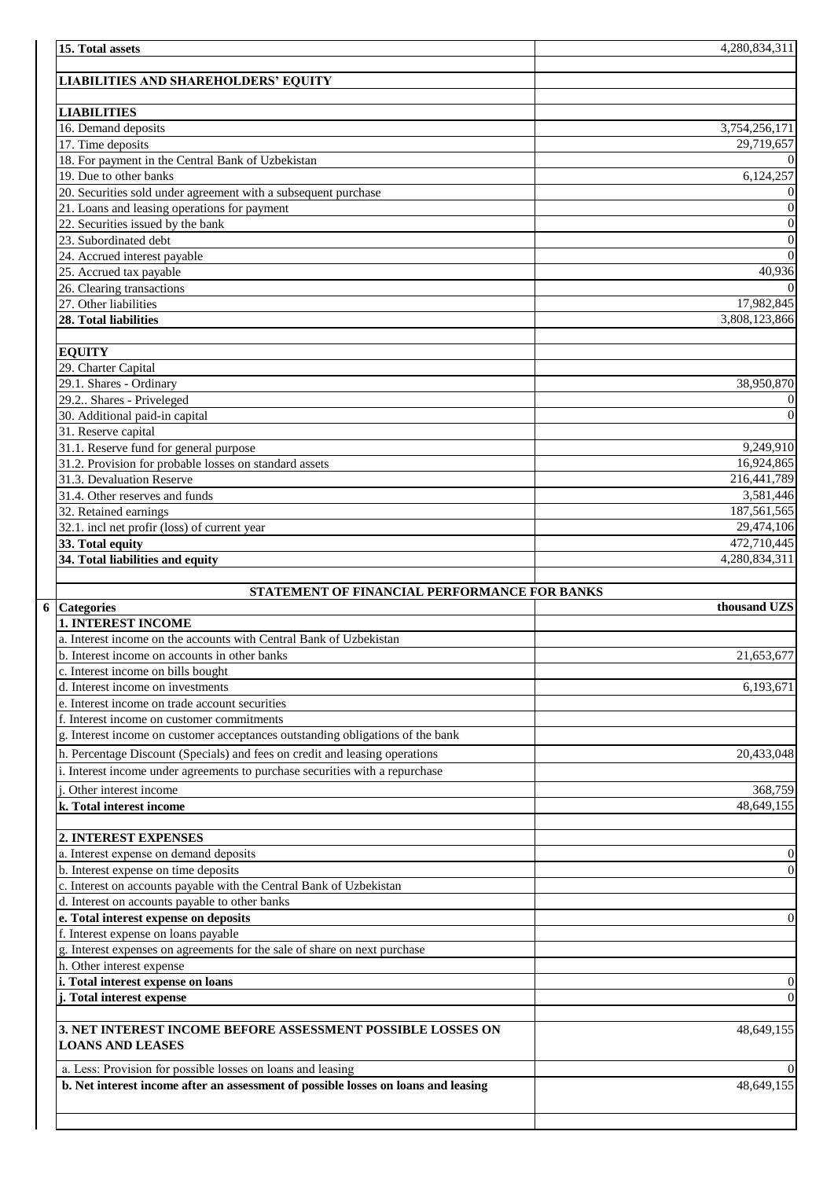| 15. Total assets                                                                                                                                                                        | 4,280,834,311               |
|-----------------------------------------------------------------------------------------------------------------------------------------------------------------------------------------|-----------------------------|
|                                                                                                                                                                                         |                             |
| <b>LIABILITIES AND SHAREHOLDERS' EQUITY</b>                                                                                                                                             |                             |
|                                                                                                                                                                                         |                             |
| <b>LIABILITIES</b>                                                                                                                                                                      |                             |
| 16. Demand deposits<br>17. Time deposits                                                                                                                                                | 3,754,256,171<br>29,719,657 |
| 18. For payment in the Central Bank of Uzbekistan                                                                                                                                       | $\theta$                    |
| 19. Due to other banks                                                                                                                                                                  | 6,124,257                   |
| 20. Securities sold under agreement with a subsequent purchase                                                                                                                          | $\mathbf{0}$                |
| 21. Loans and leasing operations for payment                                                                                                                                            | $\boldsymbol{0}$            |
| 22. Securities issued by the bank                                                                                                                                                       | $\overline{0}$              |
| 23. Subordinated debt                                                                                                                                                                   | $\overline{0}$              |
| 24. Accrued interest payable                                                                                                                                                            | $\overline{0}$              |
| 25. Accrued tax payable                                                                                                                                                                 | 40,936                      |
| 26. Clearing transactions                                                                                                                                                               | $\Omega$                    |
| 27. Other liabilities                                                                                                                                                                   | 17,982,845                  |
| 28. Total liabilities                                                                                                                                                                   | 3,808,123,866               |
|                                                                                                                                                                                         |                             |
| <b>EQUITY</b>                                                                                                                                                                           |                             |
| 29. Charter Capital<br>29.1. Shares - Ordinary                                                                                                                                          | 38,950,870                  |
| 29.2. Shares - Priveleged                                                                                                                                                               | $\bf{0}$                    |
| 30. Additional paid-in capital                                                                                                                                                          | $\boldsymbol{0}$            |
| 31. Reserve capital                                                                                                                                                                     |                             |
| 31.1. Reserve fund for general purpose                                                                                                                                                  | 9,249,910                   |
| 31.2. Provision for probable losses on standard assets                                                                                                                                  | 16,924,865                  |
| 31.3. Devaluation Reserve                                                                                                                                                               | 216,441,789                 |
| 31.4. Other reserves and funds                                                                                                                                                          | 3,581,446                   |
| 32. Retained earnings                                                                                                                                                                   | 187,561,565                 |
| 32.1. incl net profir (loss) of current year                                                                                                                                            | 29,474,106                  |
| 33. Total equity                                                                                                                                                                        | 472,710,445                 |
| 34. Total liabilities and equity                                                                                                                                                        | 4,280,834,311               |
| STATEMENT OF FINANCIAL PERFORMANCE FOR BANKS                                                                                                                                            |                             |
| 6 Categories                                                                                                                                                                            | thousand UZS                |
| <b>1. INTEREST INCOME</b>                                                                                                                                                               |                             |
| a. Interest income on the accounts with Central Bank of Uzbekistan                                                                                                                      |                             |
| b. Interest income on accounts in other banks                                                                                                                                           | 21,653,677                  |
| c. Interest income on bills bought                                                                                                                                                      |                             |
| d. Interest income on investments                                                                                                                                                       | 6,193,671                   |
| e. Interest income on trade account securities                                                                                                                                          |                             |
| f. Interest income on customer commitments                                                                                                                                              |                             |
| g. Interest income on customer acceptances outstanding obligations of the bank                                                                                                          |                             |
|                                                                                                                                                                                         |                             |
|                                                                                                                                                                                         | 20,433,048                  |
| h. Percentage Discount (Specials) and fees on credit and leasing operations<br>i. Interest income under agreements to purchase securities with a repurchase                             |                             |
| Other interest income                                                                                                                                                                   | 368,759                     |
|                                                                                                                                                                                         | 48,649,155                  |
|                                                                                                                                                                                         |                             |
| k. Total interest income<br>2. INTEREST EXPENSES                                                                                                                                        |                             |
|                                                                                                                                                                                         | $\theta$                    |
| a. Interest expense on demand deposits<br>b. Interest expense on time deposits                                                                                                          | $\overline{0}$              |
|                                                                                                                                                                                         |                             |
| c. Interest on accounts payable with the Central Bank of Uzbekistan<br>d. Interest on accounts payable to other banks                                                                   |                             |
|                                                                                                                                                                                         | $\mathbf{0}$                |
|                                                                                                                                                                                         |                             |
|                                                                                                                                                                                         |                             |
| e. Total interest expense on deposits<br>f. Interest expense on loans payable<br>g. Interest expenses on agreements for the sale of share on next purchase<br>h. Other interest expense |                             |
|                                                                                                                                                                                         | $\theta$                    |
|                                                                                                                                                                                         | $\mathbf{0}$                |
| i. Total interest expense on loans<br>j. Total interest expense                                                                                                                         |                             |
|                                                                                                                                                                                         | 48,649,155                  |
| 3. NET INTEREST INCOME BEFORE ASSESSMENT POSSIBLE LOSSES ON<br><b>LOANS AND LEASES</b>                                                                                                  |                             |
| a. Less: Provision for possible losses on loans and leasing                                                                                                                             | $\Omega$                    |
|                                                                                                                                                                                         | 48,649,155                  |
| b. Net interest income after an assessment of possible losses on loans and leasing                                                                                                      |                             |